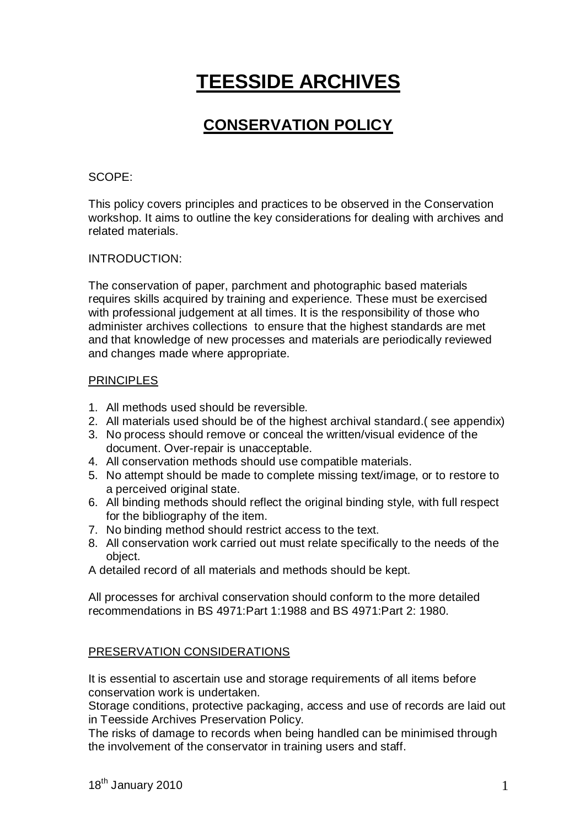# **TEESSIDE ARCHIVES**

## **CONSERVATION POLICY**

#### SCOPE:

This policy covers principles and practices to be observed in the Conservation workshop. It aims to outline the key considerations for dealing with archives and related materials.

#### INTRODUCTION:

The conservation of paper, parchment and photographic based materials requires skills acquired by training and experience. These must be exercised with professional judgement at all times. It is the responsibility of those who administer archives collections to ensure that the highest standards are met and that knowledge of new processes and materials are periodically reviewed and changes made where appropriate.

#### **PRINCIPLES**

- 1. All methods used should be reversible.
- 2. All materials used should be of the highest archival standard.( see appendix)
- 3. No process should remove or conceal the written/visual evidence of the document. Over-repair is unacceptable.
- 4. All conservation methods should use compatible materials.
- 5. No attempt should be made to complete missing text/image, or to restore to a perceived original state.
- 6. All binding methods should reflect the original binding style, with full respect for the bibliography of the item.
- 7. No binding method should restrict access to the text.
- 8. All conservation work carried out must relate specifically to the needs of the object.

A detailed record of all materials and methods should be kept.

All processes for archival conservation should conform to the more detailed recommendations in BS 4971:Part 1:1988 and BS 4971:Part 2: 1980.

### PRESERVATION CONSIDERATIONS

It is essential to ascertain use and storage requirements of all items before conservation work is undertaken.

Storage conditions, protective packaging, access and use of records are laid out in Teesside Archives Preservation Policy.

The risks of damage to records when being handled can be minimised through the involvement of the conservator in training users and staff.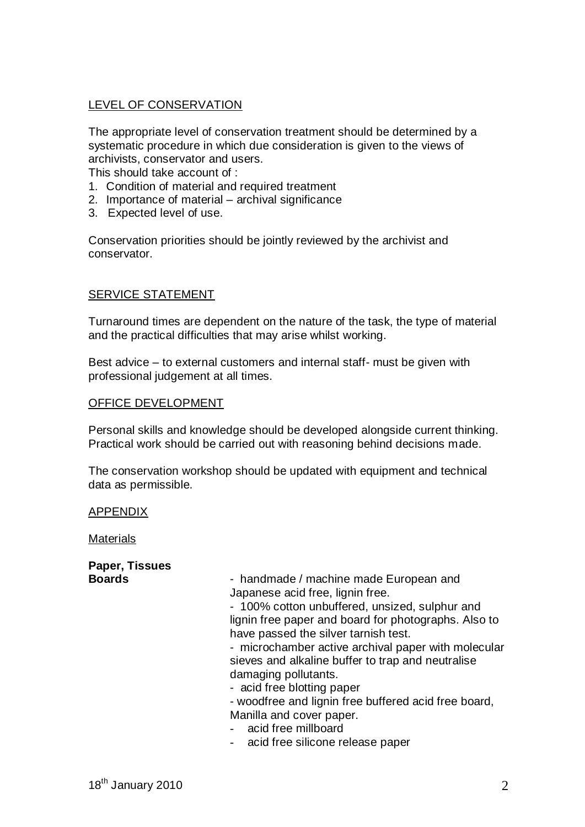#### LEVEL OF CONSERVATION

The appropriate level of conservation treatment should be determined by a systematic procedure in which due consideration is given to the views of archivists, conservator and users.

This should take account of :

- 1. Condition of material and required treatment
- 2. Importance of material archival significance
- 3. Expected level of use.

Conservation priorities should be jointly reviewed by the archivist and conservator.

#### SERVICE STATEMENT

Turnaround times are dependent on the nature of the task, the type of material and the practical difficulties that may arise whilst working.

Best advice – to external customers and internal staff- must be given with professional judgement at all times.

#### OFFICE DEVELOPMENT

Personal skills and knowledge should be developed alongside current thinking. Practical work should be carried out with reasoning behind decisions made.

The conservation workshop should be updated with equipment and technical data as permissible.

#### APPENDIX

**Materials** 

|               | Paper, Tissues |
|---------------|----------------|
| <b>Boards</b> |                |

**Boards** - handmade / machine made European and Japanese acid free, lignin free.

- 100% cotton unbuffered, unsized, sulphur and lignin free paper and board for photographs. Also to have passed the silver tarnish test.

- microchamber active archival paper with molecular sieves and alkaline buffer to trap and neutralise damaging pollutants.

- acid free blotting paper

- woodfree and lignin free buffered acid free board, Manilla and cover paper.

- acid free millboard
- acid free silicone release paper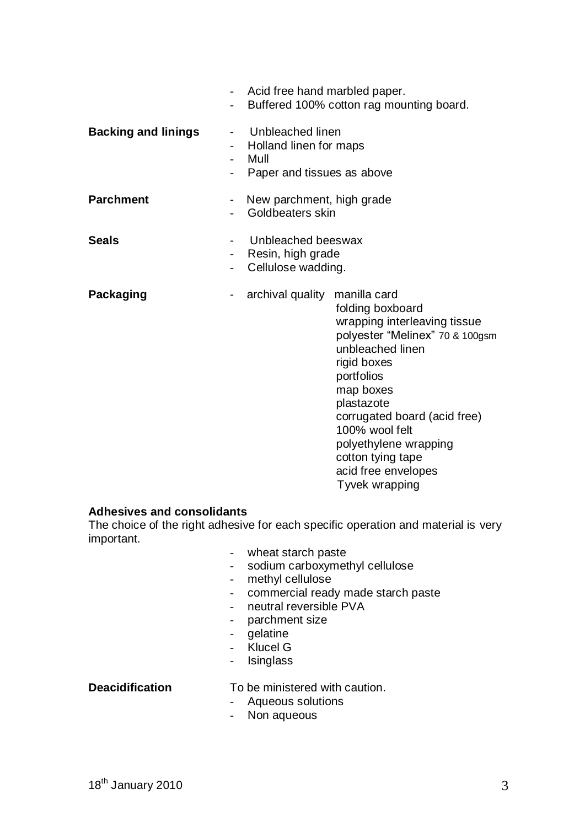|                            |                     | Acid free hand marbled paper.                                                    | Buffered 100% cotton rag mounting board.                                                                                                                                                                                                                                                                                 |
|----------------------------|---------------------|----------------------------------------------------------------------------------|--------------------------------------------------------------------------------------------------------------------------------------------------------------------------------------------------------------------------------------------------------------------------------------------------------------------------|
| <b>Backing and linings</b> | -<br>$\overline{a}$ | Unbleached linen<br>Holland linen for maps<br>Mull<br>Paper and tissues as above |                                                                                                                                                                                                                                                                                                                          |
| <b>Parchment</b>           |                     | New parchment, high grade<br>Goldbeaters skin                                    |                                                                                                                                                                                                                                                                                                                          |
| <b>Seals</b>               |                     | Unbleached beeswax<br>Resin, high grade<br>Cellulose wadding.                    |                                                                                                                                                                                                                                                                                                                          |
| Packaging                  |                     | archival quality                                                                 | manilla card<br>folding boxboard<br>wrapping interleaving tissue<br>polyester "Melinex" 70 & 100gsm<br>unbleached linen<br>rigid boxes<br>portfolios<br>map boxes<br>plastazote<br>corrugated board (acid free)<br>100% wool felt<br>polyethylene wrapping<br>cotton tying tape<br>acid free envelopes<br>Tyvek wrapping |

### **Adhesives and consolidants**

The choice of the right adhesive for each specific operation and material is very important.

- wheat starch paste
- sodium carboxymethyl cellulose<br>- methyl cellulose
- methyl cellulose
- commercial ready made starch paste
- neutral reversible PVA
- parchment size
- gelatine
- Klucel G
- Isinglass

**Deacidification** To be ministered with caution.

- Aqueous solutions
- Non aqueous